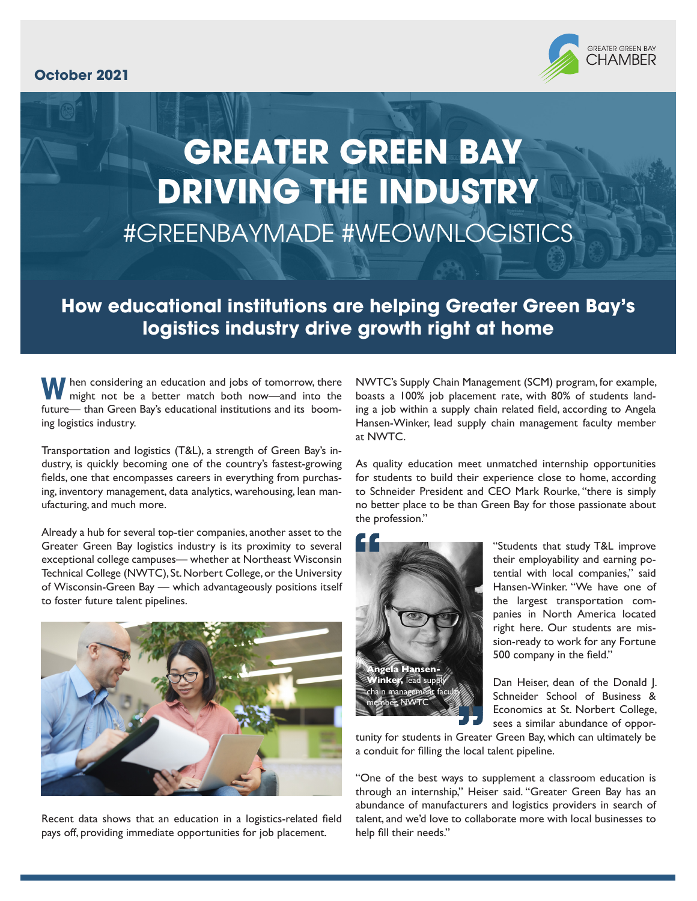## **October 2021**



## **GREATER GREEN BAY DRIVING THE INDUSTRY** #GREENBAYMADE #WEOWNLOGISTICS

## **How educational institutions are helping Greater Green Bay's logistics industry drive growth right at home**

**W** hen considering an education and jobs of tomorrow, there might not be a better match both now—and into the future— than Green Bay's educational institutions and its booming logistics industry.

Transportation and logistics (T&L), a strength of Green Bay's industry, is quickly becoming one of the country's fastest-growing fields, one that encompasses careers in everything from purchasing, inventory management, data analytics, warehousing, lean manufacturing, and much more.

Already a hub for several top-tier companies, another asset to the Greater Green Bay logistics industry is its proximity to several exceptional college campuses— whether at Northeast Wisconsin Technical College (NWTC), St. Norbert College, or the University of Wisconsin-Green Bay — which advantageously positions itself to foster future talent pipelines.



Recent data shows that an education in a logistics-related field pays off, providing immediate opportunities for job placement.

NWTC's Supply Chain Management (SCM) program, for example, boasts a 100% job placement rate, with 80% of students landing a job within a supply chain related field, according to Angela Hansen-Winker, lead supply chain management faculty member at NWTC.

As quality education meet unmatched internship opportunities for students to build their experience close to home, according to Schneider President and CEO Mark Rourke, "there is simply no better place to be than Green Bay for those passionate about the profession."



"Students that study T&L improve their employability and earning potential with local companies," said Hansen-Winker. "We have one of the largest transportation companies in North America located right here. Our students are mission-ready to work for any Fortune 500 company in the field."

Dan Heiser, dean of the Donald J. Schneider School of Business & Economics at St. Norbert College, sees a similar abundance of oppor-

tunity for students in Greater Green Bay, which can ultimately be a conduit for filling the local talent pipeline.

"One of the best ways to supplement a classroom education is through an internship," Heiser said. "Greater Green Bay has an abundance of manufacturers and logistics providers in search of talent, and we'd love to collaborate more with local businesses to help fill their needs."